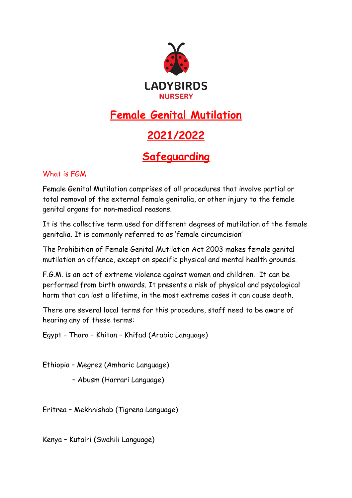

## **Female Genital Mutilation**

## **2021/2022**

## **Safeguarding**

## What is FGM

Female Genital Mutilation comprises of all procedures that involve partial or total removal of the external female genitalia, or other injury to the female genital organs for non-medical reasons.

It is the collective term used for different degrees of mutilation of the female genitalia. It is commonly referred to as 'female circumcision'

The Prohibition of Female Genital Mutilation Act 2003 makes female genital mutilation an offence, except on specific physical and mental health grounds.

F.G.M. is an act of extreme violence against women and children. It can be performed from birth onwards. It presents a risk of physical and psycological harm that can last a lifetime, in the most extreme cases it can cause death.

There are several local terms for this procedure, staff need to be aware of hearing any of these terms:

Egypt – Thara – Khitan – Khifad (Arabic Language)

Ethiopia – Megrez (Amharic Language)

– Abusm (Harrari Language)

Eritrea – Mekhnishab (Tigrena Language)

Kenya – Kutairi (Swahili Language)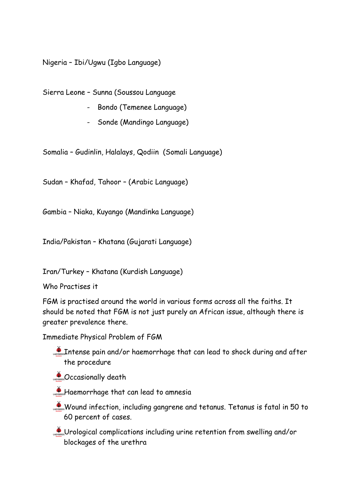Nigeria – Ibi/Ugwu (Igbo Language)

Sierra Leone – Sunna (Soussou Language

- Bondo (Temenee Language)
- Sonde (Mandingo Language)

Somalia – Gudinlin, Halalays, Qodiin (Somali Language)

Sudan – Khafad, Tahoor – (Arabic Language)

Gambia – Niaka, Kuyango (Mandinka Language)

India/Pakistan – Khatana (Gujarati Language)

Iran/Turkey – Khatana (Kurdish Language)

Who Practises it

FGM is practised around the world in various forms across all the faiths. It should be noted that FGM is not just purely an African issue, although there is greater prevalence there.

Immediate Physical Problem of FGM

- Intense pain and/or haemorrhage that can lead to shock during and after the procedure
- **Constructed Death**
- Haemorrhage that can lead to amnesia
- Wound infection, including gangrene and tetanus. Tetanus is fatal in 50 to 60 percent of cases.
- Urological complications including urine retention from swelling and/or blockages of the urethra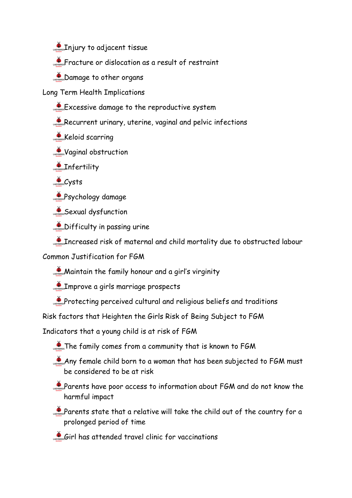**CADGE Injury to adjacent tissue** 

Fracture or dislocation as a result of restraint

**Damage to other organs** 

Long Term Health Implications

 $\bullet$  Excessive damage to the reproductive system

Recurrent urinary, uterine, vaginal and pelvic infections

**Keloid scarring** 

**Vaginal obstruction** 

**CARDS** Infertility

 $C$ ysts

**Psychology damage** 

Sexual dysfunction

**CAPROSE Difficulty in passing urine** 

**Increased risk of maternal and child mortality due to obstructed labour** 

Common Justification for FGM

**Maintain the family honour and a girl's virginity** 

**Alters:** Improve a girls marriage prospects

**Protecting perceived cultural and religious beliefs and traditions** 

Risk factors that Heighten the Girls Risk of Being Subject to FGM

Indicators that a young child is at risk of FGM

**The family comes from a community that is known to FGM** 

Any female child born to a woman that has been subjected to FGM must be considered to be at risk

Parents have poor access to information about FGM and do not know the harmful impact

Parents state that a relative will take the child out of the country for a prolonged period of time

Girl has attended travel clinic for vaccinations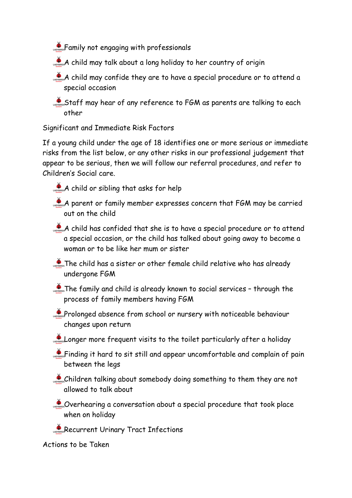**Family not engaging with professionals** 

- $A$  child may talk about a long holiday to her country of origin
- $\mathcal{A}_{\text{Lipers}}$  child may confide they are to have a special procedure or to attend a special occasion
- Staff may hear of any reference to FGM as parents are talking to each other

Significant and Immediate Risk Factors

If a young child under the age of 18 identifies one or more serious or immediate risks from the list below, or any other risks in our professional judgement that appear to be serious, then we will follow our referral procedures, and refer to Children's Social care.

- A child or sibling that asks for help
- A parent or family member expresses concern that FGM may be carried out on the child
- $A$  child has confided that she is to have a special procedure or to attend a special occasion, or the child has talked about going away to become a woman or to be like her mum or sister
- $\sum_{n=1}^{\infty}$  The child has a sister or other female child relative who has already undergone FGM
- $\mathcal{L}_{\text{cross}}$  The family and child is already known to social services through the process of family members having FGM
- **Prolonged absence from school or nursery with noticeable behaviour** changes upon return
- Longer more frequent visits to the toilet particularly after a holiday
- Finding it hard to sit still and appear uncomfortable and complain of pain between the legs
- Children talking about somebody doing something to them they are not allowed to talk about
- Coverhearing a conversation about a special procedure that took place when on holiday
- Recurrent Urinary Tract Infections

Actions to be Taken